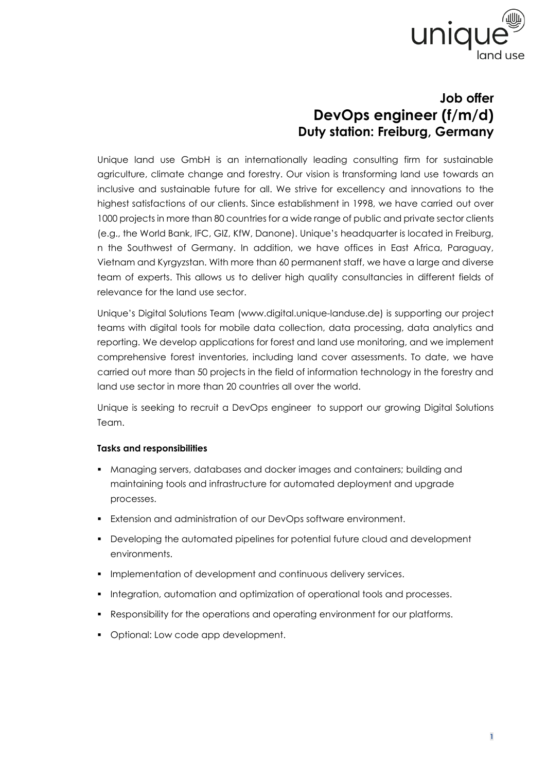

## **Job offer DevOps engineer (f/m/d) Duty station: Freiburg, Germany**

Unique land use GmbH is an internationally leading consulting firm for sustainable agriculture, climate change and forestry. Our vision is transforming land use towards an inclusive and sustainable future for all. We strive for excellency and innovations to the highest satisfactions of our clients. Since establishment in 1998, we have carried out over 1000 projects in more than 80 countries for a wide range of public and private sector clients (e.g., the World Bank, IFC, GIZ, KfW, Danone). Unique's headquarter is located in Freiburg, n the Southwest of Germany. In addition, we have offices in East Africa, Paraguay, Vietnam and Kyrgyzstan. With more than 60 permanent staff, we have a large and diverse team of experts. This allows us to deliver high quality consultancies in different fields of relevance for the land use sector.

Unique's Digital Solutions Team (www.digital.unique-landuse.de) is supporting our project teams with digital tools for mobile data collection, data processing, data analytics and reporting. We develop applications for forest and land use monitoring, and we implement comprehensive forest inventories, including land cover assessments. To date, we have carried out more than 50 projects in the field of information technology in the forestry and land use sector in more than 20 countries all over the world.

Unique is seeking to recruit a DevOps engineer to support our growing Digital Solutions Team.

## **Tasks and responsibilities**

- Managing servers, databases and docker images and containers; building and maintaining tools and infrastructure for automated deployment and upgrade processes.
- Extension and administration of our DevOps software environment.
- Developing the automated pipelines for potential future cloud and development environments.
- **.** Implementation of development and continuous delivery services.
- Integration, automation and optimization of operational tools and processes.
- Responsibility for the operations and operating environment for our platforms.
- Optional: Low code app development.